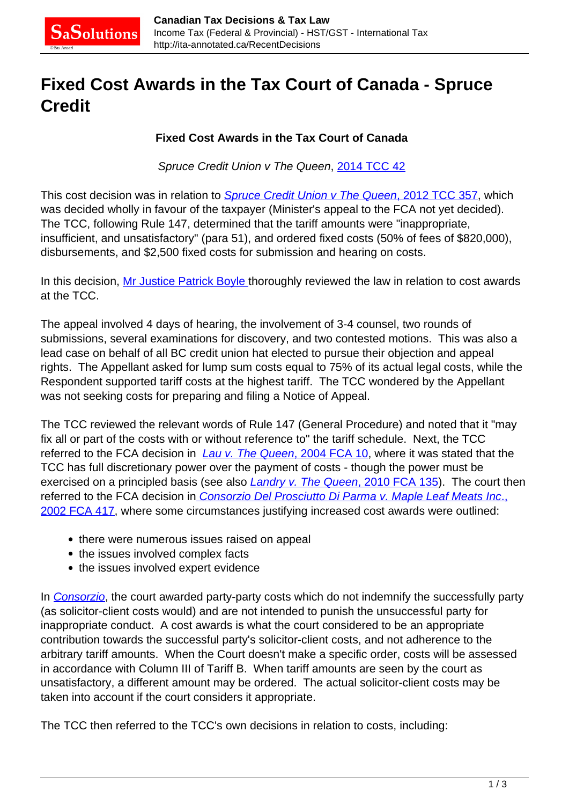## **Fixed Cost Awards in the Tax Court of Canada - Spruce Credit**

## **Fixed Cost Awards in the Tax Court of Canada**

Spruce Credit Union v The Queen, [2014 TCC 42](http://decision.tcc-cci.gc.ca/tcc-cci/decisions/en/item/66747/index.do)

This cost decision was in relation to *[Spruce Credit Union v The Queen](http://ita-annotated.ca/RecentDecisions/spruce-credit-union-v-the-queen-2012-tcc-357/)*[, 2012 TCC 357](http://ita-annotated.ca/RecentDecisions/spruce-credit-union-v-the-queen-2012-tcc-357/), which was decided wholly in favour of the taxpayer (Minister's appeal to the FCA not yet decided). The TCC, following Rule 147, determined that the tariff amounts were "inappropriate, insufficient, and unsatisfactory" (para 51), and ordered fixed costs (50% of fees of \$820,000), disbursements, and \$2,500 fixed costs for submission and hearing on costs.

In this decision, [Mr Justice Patrick Boyle t](http://cas-ncr-nter03.cas-satj.gc.ca/portal/page/portal/tcc-cci_Eng/About/Boyle)horoughly reviewed the law in relation to cost awards at the TCC.

The appeal involved 4 days of hearing, the involvement of 3-4 counsel, two rounds of submissions, several examinations for discovery, and two contested motions. This was also a lead case on behalf of all BC credit union hat elected to pursue their objection and appeal rights. The Appellant asked for lump sum costs equal to 75% of its actual legal costs, while the Respondent supported tariff costs at the highest tariff. The TCC wondered by the Appellant was not seeking costs for preparing and filing a Notice of Appeal.

The TCC reviewed the relevant words of Rule 147 (General Procedure) and noted that it "may fix all or part of the costs with or without reference to" the tariff schedule. Next, the TCC referred to the FCA decision in  $Lau v$ . The Queen[, 2004 FCA 10](http://canlii.ca/t/1g7k0), where it was stated that the TCC has full discretionary power over the payment of costs - though the power must be exercised on a principled basis (see also *[Landry v. The Queen](http://canlii.ca/t/2bd59)*[, 2010 FCA 135\)](http://canlii.ca/t/2bd59). The court then referred to the FCA decision in [Consorzio Del Prosciutto Di Parma v. Maple Leaf Meats Inc](http://canlii.ca/t/4hmt)[.,](http://canlii.ca/t/4hmt) [2002 FCA 417,](http://canlii.ca/t/4hmt) where some circumstances justifying increased cost awards were outlined:

- there were numerous issues raised on appeal
- the issues involved complex facts
- the issues involved expert evidence

In [Consorzio](http://canlii.ca/t/4hmt), the court awarded party-party costs which do not indemnify the successfully party (as solicitor-client costs would) and are not intended to punish the unsuccessful party for inappropriate conduct. A cost awards is what the court considered to be an appropriate contribution towards the successful party's solicitor-client costs, and not adherence to the arbitrary tariff amounts. When the Court doesn't make a specific order, costs will be assessed in accordance with Column III of Tariff B. When tariff amounts are seen by the court as unsatisfactory, a different amount may be ordered. The actual solicitor-client costs may be taken into account if the court considers it appropriate.

The TCC then referred to the TCC's own decisions in relation to costs, including: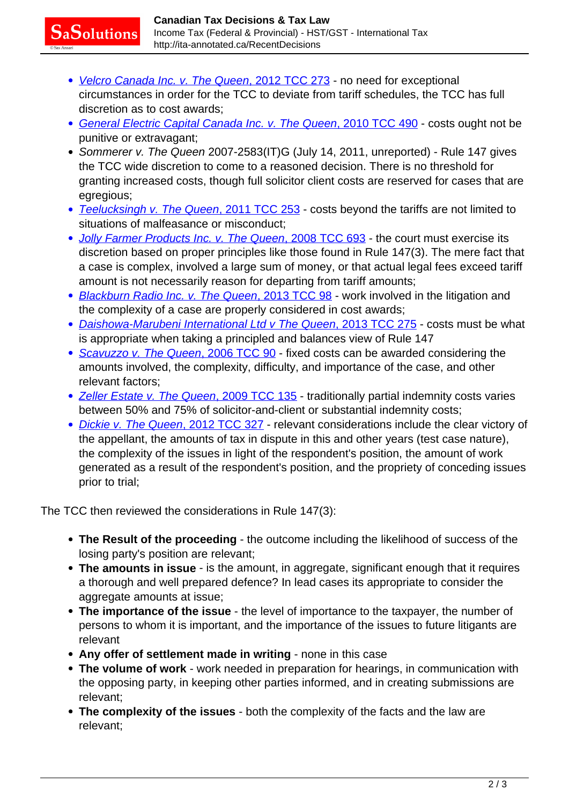- [Velcro Canada Inc. v. The Queen](http://canlii.ca/t/fs6sz)[, 2012 TCC 273](http://canlii.ca/t/fs6sz) no need for exceptional circumstances in order for the TCC to deviate from tariff schedules, the TCC has full discretion as to cost awards;
- [General Electric Capital Canada Inc. v. The Queen](http://canlii.ca/t/2d2dm)[, 2010 TCC 490](http://canlii.ca/t/2d2dm) costs ought not be punitive or extravagant;
- Sommerer v. The Queen 2007-2583(IT)G (July 14, 2011, unreported) Rule 147 gives the TCC wide discretion to come to a reasoned decision. There is no threshold for granting increased costs, though full solicitor client costs are reserved for cases that are egregious;
- [Teelucksingh v. The Queen](http://canlii.ca/t/fnrt1)[, 2011 TCC 253](http://canlii.ca/t/fnrt1)  costs beyond the tariffs are not limited to situations of malfeasance or misconduct;
- [Jolly Farmer Products Inc. v. The Queen](http://canlii.ca/t/2f6f1)[, 2008 TCC 693](http://canlii.ca/t/2f6f1)  the court must exercise its discretion based on proper principles like those found in Rule 147(3). The mere fact that a case is complex, involved a large sum of money, or that actual legal fees exceed tariff amount is not necessarily reason for departing from tariff amounts;
- [Blackburn Radio Inc. v. The Queen](http://canlii.ca/t/fx1bl)[, 2013 TCC 98](http://canlii.ca/t/fx1bl) work involved in the litigation and the complexity of a case are properly considered in cost awards;
- [Daishowa-Marubeni International Ltd v The Queen](http://canlii.ca/t/g0ktn)[, 2013 TCC 275](http://canlii.ca/t/g0ktn) costs must be what is appropriate when taking a principled and balances view of Rule 147
- [Scavuzzo v. The Queen](http://canlii.ca/t/1mlfg)[,](http://canlii.ca/t/1mlfg) [2006 TCC 90](http://canlii.ca/t/1mlfg)  fixed costs can be awarded considering the amounts involved, the complexity, difficulty, and importance of the case, and other relevant factors;
- [Zeller Estate v. The Queen](http://canlii.ca/t/22pc4)[, 2009 TCC 135](http://canlii.ca/t/22pc4)  traditionally partial indemnity costs varies between 50% and 75% of solicitor-and-client or substantial indemnity costs;
- [Dickie v. The Queen](http://canlii.ca/t/fszxl)[, 2012 TCC 327](http://canlii.ca/t/fszxl)  relevant considerations include the clear victory of the appellant, the amounts of tax in dispute in this and other years (test case nature), the complexity of the issues in light of the respondent's position, the amount of work generated as a result of the respondent's position, and the propriety of conceding issues prior to trial;

The TCC then reviewed the considerations in Rule 147(3):

 ${\mathbf S}$ a ${\mathbf S}$ olutions

- **The Result of the proceeding** the outcome including the likelihood of success of the losing party's position are relevant;
- **The amounts in issue** is the amount, in aggregate, significant enough that it requires a thorough and well prepared defence? In lead cases its appropriate to consider the aggregate amounts at issue;
- **The importance of the issue** the level of importance to the taxpayer, the number of persons to whom it is important, and the importance of the issues to future litigants are relevant
- **Any offer of settlement made in writing** none in this case
- **The volume of work** work needed in preparation for hearings, in communication with the opposing party, in keeping other parties informed, and in creating submissions are relevant;
- **The complexity of the issues** both the complexity of the facts and the law are relevant;